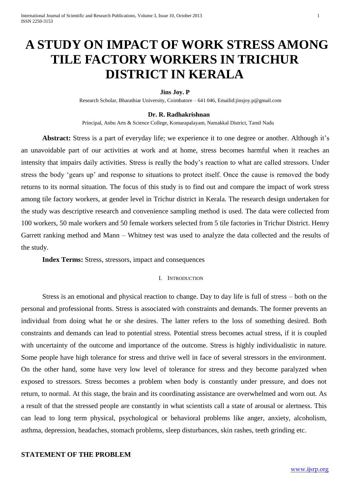# **A STUDY ON IMPACT OF WORK STRESS AMONG TILE FACTORY WORKERS IN TRICHUR DISTRICT IN KERALA**

#### **Jins Joy. P**

Research Scholar, Bharathiar University, Coimbatore – 641 046, Emailid:jinsjoy.p@gmail.com

#### **Dr. R. Radhakrishnan**

Principal, Anbu Arts & Science College, Komarapalayam, Namakkal District, Tamil Nadu

**Abstract:** Stress is a part of everyday life; we experience it to one degree or another. Although it's an unavoidable part of our activities at work and at home, stress becomes harmful when it reaches an intensity that impairs daily activities. Stress is really the body's reaction to what are called stressors. Under stress the body 'gears up' and response to situations to protect itself. Once the cause is removed the body returns to its normal situation. The focus of this study is to find out and compare the impact of work stress among tile factory workers, at gender level in Trichur district in Kerala. The research design undertaken for the study was descriptive research and convenience sampling method is used. The data were collected from 100 workers, 50 male workers and 50 female workers selected from 5 tile factories in Trichur District. Henry Garrett ranking method and Mann – Whitney test was used to analyze the data collected and the results of the study.

**Index Terms:** Stress, stressors, impact and consequences

#### I. INTRODUCTION

Stress is an emotional and physical reaction to change. Day to day life is full of stress – both on the personal and professional fronts. Stress is associated with constraints and demands. The former prevents an individual from doing what he or she desires. The latter refers to the loss of something desired. Both constraints and demands can lead to potential stress. Potential stress becomes actual stress, if it is coupled with uncertainty of the outcome and importance of the outcome. Stress is highly individualistic in nature. Some people have high tolerance for stress and thrive well in face of several stressors in the environment. On the other hand, some have very low level of tolerance for stress and they become paralyzed when exposed to stressors. Stress becomes a problem when body is constantly under pressure, and does not return, to normal. At this stage, the brain and its coordinating assistance are overwhelmed and worn out. As a result of that the stressed people are constantly in what scientists call a state of arousal or alertness. This can lead to long term physical, psychological or behavioral problems like anger, anxiety, alcoholism, asthma, depression, headaches, stomach problems, sleep disturbances, skin rashes, teeth grinding etc.

# **STATEMENT OF THE PROBLEM**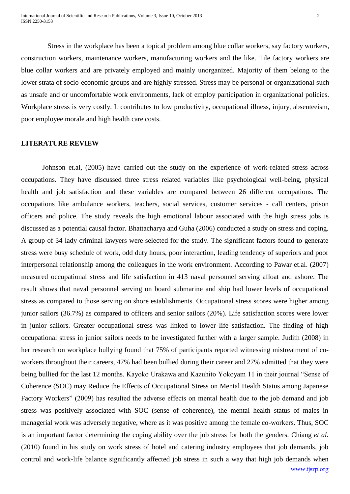Stress in the workplace has been a topical problem among blue collar workers, say factory workers, construction workers, maintenance workers, manufacturing workers and the like. Tile factory workers are blue collar workers and are privately employed and mainly unorganized. Majority of them belong to the lower strata of socio-economic groups and are highly stressed. Stress may be personal or organizational such as unsafe and or uncomfortable work environments, lack of employ participation in organizational policies. Workplace stress is very costly. It contributes to low productivity, occupational illness, injury, absenteeism, poor employee morale and high health care costs.

#### **LITERATURE REVIEW**

Johnson et.al, (2005) have carried out the study on the experience of work-related stress across occupations. They have discussed three stress related variables like psychological well-being, physical health and job satisfaction and these variables are compared between 26 different occupations. The occupations like ambulance workers, teachers, social services, customer services - call centers, prison officers and police. The study reveals the high emotional labour associated with the high stress jobs is discussed as a potential causal factor. Bhattacharya and Guha (2006) conducted a study on stress and coping. A group of 34 lady criminal lawyers were selected for the study. The significant factors found to generate stress were busy schedule of work, odd duty hours, poor interaction, leading tendency of superiors and poor interpersonal relationship among the colleagues in the work environment. According to Pawar et.al. (2007) measured occupational stress and life satisfaction in 413 naval personnel serving afloat and ashore. The result shows that naval personnel serving on board submarine and ship had lower levels of occupational stress as compared to those serving on shore establishments. Occupational stress scores were higher among junior sailors (36.7%) as compared to officers and senior sailors (20%). Life satisfaction scores were lower in junior sailors. Greater occupational stress was linked to lower life satisfaction. The finding of high occupational stress in junior sailors needs to be investigated further with a larger sample. Judith (2008) in her research on workplace bullying found that 75% of participants reported witnessing mistreatment of coworkers throughout their careers, 47% had been bullied during their career and 27% admitted that they were being bullied for the last 12 months. Kayoko Urakawa and Kazuhito Yokoyam 11 in their journal "Sense of Coherence (SOC) may Reduce the Effects of Occupational Stress on Mental Health Status among Japanese Factory Workers" (2009) has resulted the adverse effects on mental health due to the job demand and job stress was positively associated with SOC (sense of coherence), the mental health status of males in managerial work was adversely negative, where as it was positive among the female co-workers. Thus, SOC is an important factor determining the coping ability over the job stress for both the genders. Chiang *et al.*  (2010) found in his study on work stress of hotel and catering industry employees that job demands, job control and work-life balance significantly affected job stress in such a way that high job demands when

www.ijsrp.org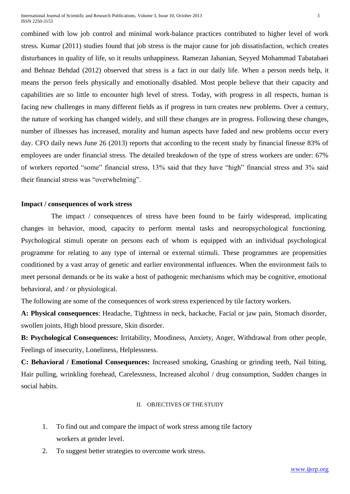combined with low job control and minimal work-balance practices contributed to higher level of work stress. Kumar (2011) studies found that job stress is the major cause for job dissatisfaction, wchich creates disturbances in quality of life, so it results unhappiness. Ramezan Jahanian, Seyyed Mohammad Tabatabaei and Behnaz Behdad (2012) observed that stress is a fact in our daily life. When a person needs help, it means the person feels physically and emotionally disabled. Most people believe that their capacity and capabilities are so little to encounter high level of stress. Today, with progress in all respects, human is facing new challenges in many different fields as if progress in turn creates new problems. Over a century, the nature of working has changed widely, and still these changes are in progress. Following these changes, number of illnesses has increased, morality and human aspects have faded and new problems occur every day. CFO daily news June 26 (2013) reports that according to the recent study by financial finesse 83% of employees are under financial stress. The detailed breakdown of the type of stress workers are under: 67% of workers reported "some" financial stress, 13% said that they have "high" financial stress and 3% said their financial stress was "overwhelming".

# **Impact / consequences of work stress**

The impact / consequences of stress have been found to be fairly widespread, implicating changes in behavior, mood, capacity to perform mental tasks and neuropsychological functioning. Psychological stimuli operate on persons each of whom is equipped with an individual psychological programme for relating to any type of internal or external stimuli. These programmes are propensities conditioned by a vast array of genetic and earlier environmental influences. When the environment fails to meet personal demands or be its wake a host of pathogenic mechanisms which may be cognitive, emotional behavioral, and / or physiological.

The following are some of the consequences of work stress experienced by tile factory workers.

**A: Physical consequences**: Headache, Tightness in neck, backache, Facial or jaw pain, Stomach disorder, swollen joints, High blood pressure, Skin disorder.

**B: Psychological Consequences:** Irritability, Moodiness, Anxiety, Anger, Withdrawal from other people, Feelings of insecurity, Loneliness, Helplessness.

**C: Behavioral / Emotional Consequences:** Increased smoking, Gnashing or grinding teeth, Nail biting, Hair pulling, wrinkling forehead, Carelessness, Increased alcohol / drug consumption, Sudden changes in social habits.

#### II. OBJECTIVES OF THE STUDY

- 1. To find out and compare the impact of work stress among tile factory workers at gender level.
- 2. To suggest better strategies to overcome work stress.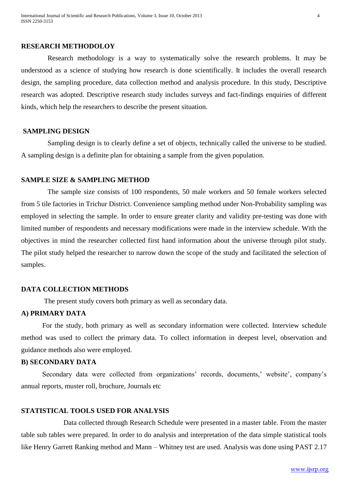#### **RESEARCH METHODOLOY**

Research methodology is a way to systematically solve the research problems. It may be understood as a science of studying how research is done scientifically. It includes the overall research design, the sampling procedure, data collection method and analysis procedure. In this study, Descriptive research was adopted. Descriptive research study includes surveys and fact-findings enquiries of different kinds, which help the researchers to describe the present situation.

# **SAMPLING DESIGN**

Sampling design is to clearly define a set of objects, technically called the universe to be studied. A sampling design is a definite plan for obtaining a sample from the given population.

#### **SAMPLE SIZE & SAMPLING METHOD**

 The sample size consists of 100 respondents, 50 male workers and 50 female workers selected from 5 tile factories in Trichur District. Convenience sampling method under Non-Probability sampling was employed in selecting the sample. In order to ensure greater clarity and validity pre-testing was done with limited number of respondents and necessary modifications were made in the interview schedule. With the objectives in mind the researcher collected first hand information about the universe through pilot study. The pilot study helped the researcher to narrow down the scope of the study and facilitated the selection of samples.

# **DATA COLLECTION METHODS**

The present study covers both primary as well as secondary data.

# **A) PRIMARY DATA**

For the study, both primary as well as secondary information were collected. Interview schedule method was used to collect the primary data. To collect information in deepest level, observation and guidance methods also were employed.

# **B) SECONDARY DATA**

Secondary data were collected from organizations' records, documents,' website', company's annual reports, muster roll, brochure, Journals etc

# **STATISTICAL TOOLS USED FOR ANALYSIS**

Data collected through Research Schedule were presented in a master table. From the master table sub tables were prepared. In order to do analysis and interpretation of the data simple statistical tools like Henry Garrett Ranking method and Mann – Whitney test are used. Analysis was done using PAST 2.17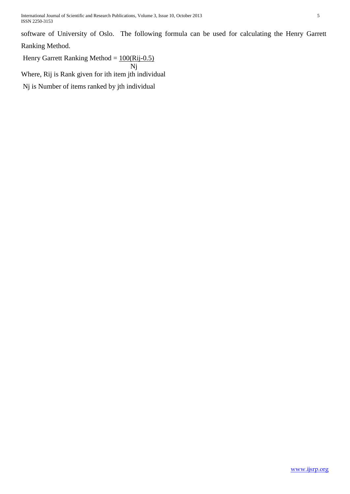International Journal of Scientific and Research Publications, Volume 3, Issue 10, October 2013 5 ISSN 2250-3153

software of University of Oslo. The following formula can be used for calculating the Henry Garrett Ranking Method.

Henry Garrett Ranking Method =  $100(Rij-0.5)$ 

 Nj Where, Rij is Rank given for ith item jth individual

Nj is Number of items ranked by jth individual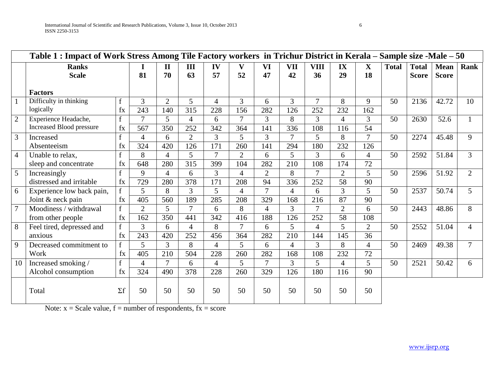|                |                                 | Table 1 : Impact of Work Stress Among Tile Factory workers in Trichur District in Kerala – Sample size -Male – 50 |                |                |                  |                |                |                |                |                |                |                |              |              |              |                |
|----------------|---------------------------------|-------------------------------------------------------------------------------------------------------------------|----------------|----------------|------------------|----------------|----------------|----------------|----------------|----------------|----------------|----------------|--------------|--------------|--------------|----------------|
|                | <b>Ranks</b>                    |                                                                                                                   |                | $\mathbf{I}$   | III              | IV             | V              | VI             | <b>VII</b>     | <b>VIII</b>    | IX             | $\mathbf{X}$   | <b>Total</b> | <b>Total</b> | <b>Mean</b>  | Rank           |
|                | <b>Scale</b>                    |                                                                                                                   | 81             | 70             | 63               | 57             | 52             | 47             | 42             | 36             | 29             | 18             |              | <b>Score</b> | <b>Score</b> |                |
|                | <b>Factors</b>                  |                                                                                                                   |                |                |                  |                |                |                |                |                |                |                |              |              |              |                |
| $\mathbf{1}$   | Difficulty in thinking          |                                                                                                                   | 3              | $\overline{2}$ | 5                | 4              | 3              | 6              | 3              | $\tau$         | 8              | 9              | 50           | 2136         | 42.72        | 10             |
|                | logically                       | fx                                                                                                                | 243            | 140            | $\overline{315}$ | 228            | 156            | 282            | 126            | 252            | 232            | 162            |              |              |              |                |
| $\overline{2}$ | Experience Headache,            | $\mathbf{f}$                                                                                                      | $\tau$         | 5              | $\overline{4}$   | 6              | $\overline{7}$ | 3              | 8              | 3              | $\overline{4}$ | 3              | 50           | 2630         | 52.6         |                |
|                | <b>Increased Blood pressure</b> | fx                                                                                                                | 567            | 350            | 252              | 342            | 364            | 141            | 336            | 108            | 116            | 54             |              |              |              |                |
| 3              | Increased                       | $\mathbf{f}$                                                                                                      | 4              | 6              | $\overline{2}$   | 3              | 5              | 3              | $\overline{7}$ | 5              | 8              | $\tau$         | 50           | 2274         | 45.48        | 9              |
|                | Absenteeism                     | fx                                                                                                                | 324            | 420            | 126              | 171            | 260            | 141            | 294            | 180            | 232            | 126            |              |              |              |                |
| $\overline{4}$ | Unable to relax.                | $\mathbf f$                                                                                                       | 8              | 4              | 5                | $\overline{7}$ | $\overline{2}$ | 6              | 5              | 3              | 6              | 4              | 50           | 2592         | 51.84        | 3              |
|                | sleep and concentrate           | fx                                                                                                                | 648            | 280            | $\overline{315}$ | 399            | 104            | 282            | 210            | 108            | 174            | 72             |              |              |              |                |
| 5              | Increasingly                    | $\mathbf{f}$                                                                                                      | 9              | $\overline{4}$ | 6                | 3              | $\overline{4}$ | $\overline{2}$ | 8              | 7              | $\overline{2}$ | 5              | 50           | 2596         | 51.92        | $\overline{2}$ |
|                | distressed and irritable        | fx                                                                                                                | 729            | 280            | 378              | 171            | 208            | 94             | 336            | 252            | 58             | 90             |              |              |              |                |
| 6              | Experience low back pain,       | f                                                                                                                 | 5              | 8              | 3                | 5              | $\overline{4}$ | 7              | $\overline{4}$ | 6              | 3              | 5              | 50           | 2537         | 50.74        | 5              |
|                | Joint & neck pain               | fx                                                                                                                | 405            | 560            | 189              | 285            | 208            | 329            | 168            | 216            | 87             | 90             |              |              |              |                |
| $\overline{7}$ | Moodiness / withdrawal          | $\mathbf{f}$                                                                                                      | $\overline{2}$ | 5              | $\overline{7}$   | 6              | 8              | 4              | 3              | $\overline{7}$ | $\overline{2}$ | 6              | 50           | 2443         | 48.86        | 8              |
|                | from other people               | fx                                                                                                                | 162            | 350            | 441              | 342            | 416            | 188            | 126            | 252            | 58             | 108            |              |              |              |                |
| $\overline{8}$ | Feel tired, depressed and       | $\mathbf{f}$                                                                                                      | 3              | 6              | $\overline{4}$   | 8              | $\overline{7}$ | 6              | 5              | $\overline{4}$ | 5              | $\overline{2}$ | 50           | 2552         | 51.04        | 4              |
|                | anxious                         | fx                                                                                                                | 243            | 420            | 252              | 456            | 364            | 282            | 210            | 144            | 145            | 36             |              |              |              |                |
| 9              | Decreased commitment to         | $\mathbf{f}$                                                                                                      | 5 <sup>5</sup> | $\overline{3}$ | 8                | 4              | 5              | 6              | 4              | 3              | 8              | $\overline{4}$ | 50           | 2469         | 49.38        |                |
|                | Work                            | $f_{X}$                                                                                                           | 405            | 210            | 504              | 228            | 260            | 282            | 168            | 108            | 232            | 72             |              |              |              |                |
| 10             | Increased smoking /             | $\mathbf f$                                                                                                       | $\overline{4}$ | $\tau$         | 6                | $\overline{4}$ | 5              | $\overline{7}$ | 3              | 5              | $\Delta$       | 5              | 50           | 2521         | 50.42        | 6              |
|                | Alcohol consumption             | fx                                                                                                                | 324            | 490            | 378              | 228            | 260            | 329            | 126            | 180            | 116            | 90             |              |              |              |                |
|                | Total                           | $\Sigma f$                                                                                                        | 50             | 50             | 50               | 50             | 50             | 50             | 50             | 50             | 50             | 50             |              |              |              |                |

Note:  $x = S$ cale value,  $f =$  number of respondents,  $fx =$  score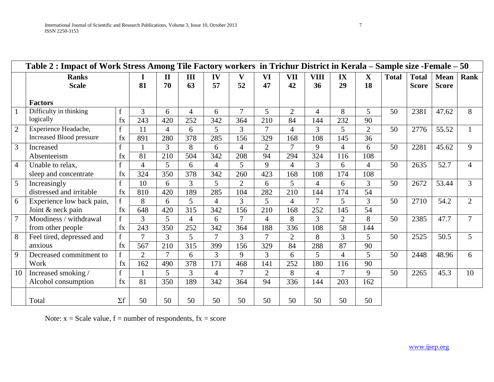|                |                           | Table 2 : Impact of Work Stress Among Tile Factory workers in Trichur District in Kerala – Sample size -Female – 50 |                |                |                |                |                |                |                |                |                |                |              |              |              |                |
|----------------|---------------------------|---------------------------------------------------------------------------------------------------------------------|----------------|----------------|----------------|----------------|----------------|----------------|----------------|----------------|----------------|----------------|--------------|--------------|--------------|----------------|
|                | <b>Ranks</b>              |                                                                                                                     |                | $\mathbf H$    | III            | IV             | $\mathbf{V}$   | VI             | <b>VII</b>     | VIII           | IX             | $\mathbf{X}$   | <b>Total</b> | <b>Total</b> | <b>Mean</b>  | <b>Rank</b>    |
|                | <b>Scale</b>              |                                                                                                                     | 81             | 70             | 63             | 57             | 52             | 47             | 42             | 36             | 29             | 18             |              | <b>Score</b> | <b>Score</b> |                |
|                |                           |                                                                                                                     |                |                |                |                |                |                |                |                |                |                |              |              |              |                |
|                | <b>Factors</b>            |                                                                                                                     |                |                |                |                |                |                |                |                |                |                |              |              |              |                |
|                | Difficulty in thinking    | f                                                                                                                   | 3              | 6              | $\overline{4}$ | 6              | $\overline{7}$ | 5              | $\overline{2}$ | 4              | 8              | $\mathfrak{H}$ | 50           | 2381         | 47.62        | 8              |
|                | logically                 | $f_{X}$                                                                                                             | 243            | 420            | 252            | 342            | 364            | 210            | 84             | 144            | 232            | 90             |              |              |              |                |
| $\overline{2}$ | Experience Headache,      | f                                                                                                                   | 11             | $\overline{4}$ | 6              | 5              | 3              | $\overline{7}$ | 4              | 3              | 5              | $\overline{2}$ | 50           | 2776         | 55.52        |                |
|                | Increased Blood pressure  | fx                                                                                                                  | 891            | 280            | 378            | 285            | 156            | 329            | 168            | 108            | 145            | 36             |              |              |              |                |
| 3              | Increased                 | $\mathbf f$                                                                                                         |                | 3              | 8              | 6              | $\overline{4}$ | $\overline{2}$ | $\overline{7}$ | 9              | $\overline{4}$ | 6              | 50           | 2281         | 45.62        | 9              |
|                | Absenteeism               | fx                                                                                                                  | 81             | 210            | 504            | 342            | 208            | 94             | 294            | 324            | 116            | 108            |              |              |              |                |
| $\overline{4}$ | Unable to relax.          | $\mathbf{f}$                                                                                                        | $\overline{4}$ | 5              | 6              | $\overline{4}$ | 5              | 9              | 4              | 3              | 6              | $\overline{4}$ | 50           | 2635         | 52.7         |                |
|                | sleep and concentrate     | fx                                                                                                                  | 324            | 350            | 378            | 342            | 260            | 423            | 168            | 108            | 174            | 108            |              |              |              |                |
| 5              | Increasingly              | f                                                                                                                   | 10             | 6              | 3              | 5              | $\overline{2}$ | 6              | 5              | 4              | 6              | 3              | 50           | 2672         | 53.44        | $\overline{3}$ |
|                | distressed and irritable  | $f_{X}$                                                                                                             | 810            | 420            | 189            | 285            | 104            | 282            | 210            | 144            | 174            | 54             |              |              |              |                |
| 6              | Experience low back pain, | f                                                                                                                   | 8              | 6              | 5              | 4              | 3              | 5              | 4              | $\overline{7}$ | 5              | 3              | 50           | 2710         | 54.2         | $\overline{2}$ |
|                | Joint & neck pain         | $f_{X}$                                                                                                             | 648            | 420            | 315            | 342            | 156            | 210            | 168            | 252            | 145            | 54             |              |              |              |                |
|                | Moodiness / withdrawal    | f                                                                                                                   | $\overline{3}$ | 5              | $\overline{4}$ | 6              | $\overline{7}$ | 4              | 8              | 3              | $\overline{2}$ | 8              | 50           | 2385         | 47.7         | 7              |
|                | from other people         | fx                                                                                                                  | 243            | 350            | 252            | 342            | 364            | 188            | 336            | 108            | 58             | 144            |              |              |              |                |
| 8              | Feel tired, depressed and | $\mathbf{f}$                                                                                                        | $\tau$         | 3              | 5              | $\overline{7}$ | 3              | $\overline{7}$ | $\overline{2}$ | 8              | 3              | 5              | 50           | 2525         | 50.5         | 5              |
|                | anxious                   | fx                                                                                                                  | 567            | 210            | 315            | 399            | 156            | 329            | 84             | 288            | 87             | 90             |              |              |              |                |
| 9              | Decreased commitment to   | $\mathbf{f}$                                                                                                        | $\overline{2}$ | $\tau$         | 6              | 3              | 9              | 3              | 6              | 5              | $\overline{4}$ | 5              | 50           | 2448         | 48.96        | 6              |
|                | Work                      | fx                                                                                                                  | 162            | 490            | 378            | 171            | 468            | 141            | 252            | 180            | 116            | 90             |              |              |              |                |
| 10             | Increased smoking /       | f                                                                                                                   |                | 5              | 3              | $\overline{4}$ | $\overline{7}$ | $\overline{2}$ | 8              | $\overline{4}$ | $\overline{7}$ | 9              | 50           | 2265         | 45.3         | 10             |
|                | Alcohol consumption       | fx                                                                                                                  | 81             | 350            | 189            | 342            | 364            | 94             | 336            | 144            | 203            | 162            |              |              |              |                |
|                |                           |                                                                                                                     |                |                |                |                |                |                |                |                |                |                |              |              |              |                |
|                | Total                     | $\Sigma f$                                                                                                          | 50             | 50             | 50             | 50             | 50             | 50             | 50             | 50             | 50             | 50             |              |              |              |                |

Note:  $x = Scale value$ ,  $f = number of respondents$ ,  $fx = score$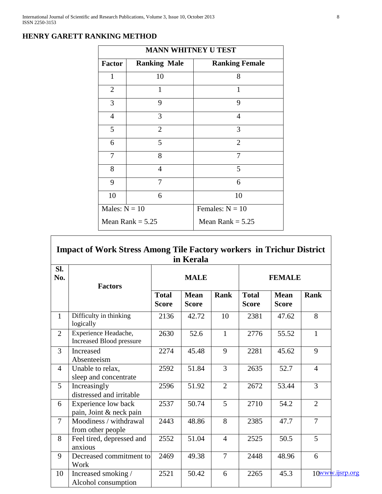|                 |                     | <b>MANN WHITNEY U TEST</b> |
|-----------------|---------------------|----------------------------|
| <b>Factor</b>   | <b>Ranking Male</b> | <b>Ranking Female</b>      |
| $\mathbf{1}$    | 10                  | 8                          |
| $\overline{2}$  | 1                   | 1                          |
| 3               | 9                   | 9                          |
| $\overline{4}$  | 3                   | $\overline{4}$             |
| 5               | $\overline{2}$      | 3                          |
| 6               | 5                   | $\overline{2}$             |
| 7               | 8                   | 7                          |
| 8               | $\overline{4}$      | 5                          |
| 9               | 7                   | 6                          |
| 10              | 6                   | 10                         |
| Males: $N = 10$ |                     | Females: $N = 10$          |
|                 | Mean Rank $= 5.25$  | Mean Rank $= 5.25$         |

# **HENRY GARETT RANKING METHOD**

| SI.<br>No.     | <b>Factors</b>                                   |                              | <b>MALE</b>                 |                | <b>FEMALE</b>                |                             |                 |  |
|----------------|--------------------------------------------------|------------------------------|-----------------------------|----------------|------------------------------|-----------------------------|-----------------|--|
|                |                                                  | <b>Total</b><br><b>Score</b> | <b>Mean</b><br><b>Score</b> | Rank           | <b>Total</b><br><b>Score</b> | <b>Mean</b><br><b>Score</b> | <b>Rank</b>     |  |
| $\mathbf{1}$   | Difficulty in thinking<br>logically              | 2136                         | 42.72                       | 10             | 2381                         | 47.62                       | 8               |  |
| $\overline{2}$ | Experience Headache,<br>Increased Blood pressure | 2630                         | 52.6                        | $\mathbf{1}$   | 2776                         | 55.52                       | $\mathbf{1}$    |  |
| $\overline{3}$ | Increased<br>Absenteeism                         | 2274                         | 45.48                       | 9              | 2281                         | 45.62                       | 9               |  |
| $\overline{4}$ | Unable to relax,<br>sleep and concentrate        | 2592                         | 51.84                       | 3              | 2635                         | 52.7                        | $\overline{4}$  |  |
| 5 <sup>5</sup> | Increasingly<br>distressed and irritable         | 2596                         | 51.92                       | $\overline{2}$ | 2672                         | 53.44                       | $\overline{3}$  |  |
| 6              | Experience low back<br>pain, Joint & neck pain   | 2537                         | 50.74                       | 5              | 2710                         | 54.2                        | $\overline{2}$  |  |
| $\overline{7}$ | Moodiness / withdrawal<br>from other people      | 2443                         | 48.86                       | 8              | 2385                         | 47.7                        | $\overline{7}$  |  |
| 8              | Feel tired, depressed and<br>anxious             | 2552                         | 51.04                       | $\overline{4}$ | 2525                         | 50.5                        | 5               |  |
| 9              | Decreased commitment to<br>Work                  | 2469                         | 49.38                       | $\overline{7}$ | 2448                         | 48.96                       | 6               |  |
| 10             | Increased smoking /<br>Alcohol consumption       | 2521                         | 50.42                       | 6              | 2265                         | 45.3                        | 10www.ijsrp.org |  |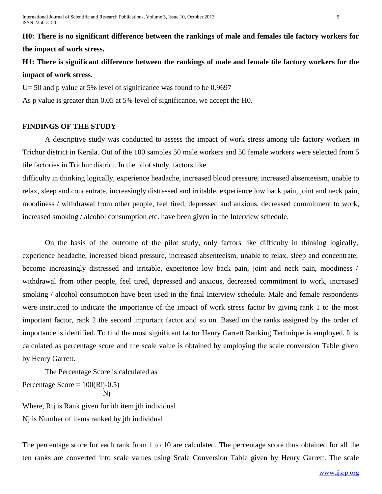**H0: There is no significant difference between the rankings of male and females tile factory workers for the impact of work stress.**

**H1: There is significant difference between the rankings of male and female tile factory workers for the impact of work stress.** 

U= 50 and p value at 5% level of significance was found to be 0.9697

As p value is greater than 0.05 at 5% level of significance, we accept the H0.

# **FINDINGS OF THE STUDY**

A descriptive study was conducted to assess the impact of work stress among tile factory workers in Trichur district in Kerala. Out of the 100 samples 50 male workers and 50 female workers were selected from 5 tile factories in Trichur district. In the pilot study, factors like

difficulty in thinking logically, experience headache, increased blood pressure, increased absenteeism, unable to relax, sleep and concentrate, increasingly distressed and irritable, experience low back pain, joint and neck pain, moodiness / withdrawal from other people, feel tired, depressed and anxious, decreased commitment to work, increased smoking / alcohol consumption etc. have been given in the Interview schedule.

On the basis of the outcome of the pilot study, only factors like difficulty in thinking logically, experience headache, increased blood pressure, increased absenteeism, unable to relax, sleep and concentrate, become increasingly distressed and irritable, experience low back pain, joint and neck pain, moodiness / withdrawal from other people, feel tired, depressed and anxious, decreased commitment to work, increased smoking / alcohol consumption have been used in the final Interview schedule. Male and female respondents were instructed to indicate the importance of the impact of work stress factor by giving rank 1 to the most important factor, rank 2 the second important factor and so on. Based on the ranks assigned by the order of importance is identified. To find the most significant factor Henry Garrett Ranking Technique is employed. It is calculated as percentage score and the scale value is obtained by employing the scale conversion Table given by Henry Garrett.

The Percentage Score is calculated as Percentage Score =  $100(Ri-0.5)$ 

$$
\frac{1}{Nj}
$$

Where, Rij is Rank given for ith item jth individual Nj is Number of items ranked by jth individual

The percentage score for each rank from 1 to 10 are calculated. The percentage score thus obtained for all the ten ranks are converted into scale values using Scale Conversion Table given by Henry Garrett. The scale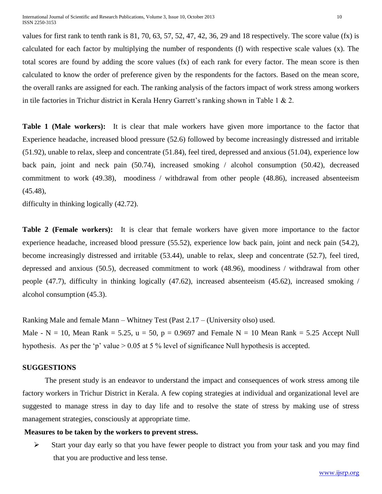values for first rank to tenth rank is  $81, 70, 63, 57, 52, 47, 42, 36, 29$  and 18 respectively. The score value  $(fx)$  is calculated for each factor by multiplying the number of respondents (f) with respective scale values (x). The total scores are found by adding the score values (fx) of each rank for every factor. The mean score is then calculated to know the order of preference given by the respondents for the factors. Based on the mean score, the overall ranks are assigned for each. The ranking analysis of the factors impact of work stress among workers in tile factories in Trichur district in Kerala Henry Garrett's ranking shown in Table 1 & 2.

**Table 1 (Male workers):** It is clear that male workers have given more importance to the factor that Experience headache, increased blood pressure (52.6) followed by become increasingly distressed and irritable (51.92), unable to relax, sleep and concentrate (51.84), feel tired, depressed and anxious (51.04), experience low back pain, joint and neck pain (50.74), increased smoking / alcohol consumption (50.42), decreased commitment to work (49.38), moodiness / withdrawal from other people (48.86), increased absenteeism (45.48),

difficulty in thinking logically (42.72).

**Table 2 (Female workers):** It is clear that female workers have given more importance to the factor experience headache, increased blood pressure (55.52), experience low back pain, joint and neck pain (54.2), become increasingly distressed and irritable (53.44), unable to relax, sleep and concentrate (52.7), feel tired, depressed and anxious (50.5), decreased commitment to work (48.96), moodiness / withdrawal from other people (47.7), difficulty in thinking logically (47.62), increased absenteeism (45.62), increased smoking / alcohol consumption (45.3).

Ranking Male and female Mann – Whitney Test (Past 2.17 – (University olso) used. Male - N = 10, Mean Rank = 5.25,  $u = 50$ ,  $p = 0.9697$  and Female N = 10 Mean Rank = 5.25 Accept Null hypothesis. As per the 'p' value  $> 0.05$  at 5 % level of significance Null hypothesis is accepted.

#### **SUGGESTIONS**

The present study is an endeavor to understand the impact and consequences of work stress among tile factory workers in Trichur District in Kerala. A few coping strategies at individual and organizational level are suggested to manage stress in day to day life and to resolve the state of stress by making use of stress management strategies, consciously at appropriate time.

#### **Measures to be taken by the workers to prevent stress.**

 $\triangleright$  Start your day early so that you have fewer people to distract you from your task and you may find that you are productive and less tense.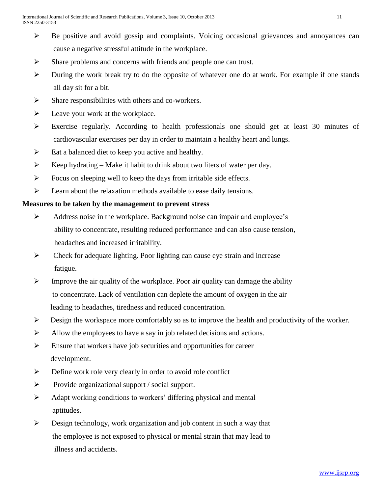- $\triangleright$  Be positive and avoid gossip and complaints. Voicing occasional grievances and annoyances can cause a negative stressful attitude in the workplace.
- $\triangleright$  Share problems and concerns with friends and people one can trust.
- $\triangleright$  During the work break try to do the opposite of whatever one do at work. For example if one stands all day sit for a bit.
- $\triangleright$  Share responsibilities with others and co-workers.
- $\blacktriangleright$  Leave your work at the workplace.
- Exercise regularly. According to health professionals one should get at least 30 minutes of cardiovascular exercises per day in order to maintain a healthy heart and lungs.
- $\triangleright$  Eat a balanced diet to keep you active and healthy.
- $\triangleright$  Keep hydrating Make it habit to drink about two liters of water per day.
- $\triangleright$  Focus on sleeping well to keep the days from irritable side effects.
- $\triangleright$  Learn about the relaxation methods available to ease daily tensions.

# **Measures to be taken by the management to prevent stress**

- Address noise in the workplace. Background noise can impair and employee's ability to concentrate, resulting reduced performance and can also cause tension, headaches and increased irritability.
- $\triangleright$  Check for adequate lighting. Poor lighting can cause eye strain and increase fatigue.
- $\triangleright$  Improve the air quality of the workplace. Poor air quality can damage the ability to concentrate. Lack of ventilation can deplete the amount of oxygen in the air leading to headaches, tiredness and reduced concentration.
- $\triangleright$  Design the workspace more comfortably so as to improve the health and productivity of the worker.
- $\triangleright$  Allow the employees to have a say in job related decisions and actions.
- $\triangleright$  Ensure that workers have job securities and opportunities for career development.
- $\triangleright$  Define work role very clearly in order to avoid role conflict
- $\triangleright$  Provide organizational support / social support.
- $\triangleright$  Adapt working conditions to workers' differing physical and mental aptitudes.
- $\triangleright$  Design technology, work organization and job content in such a way that the employee is not exposed to physical or mental strain that may lead to illness and accidents.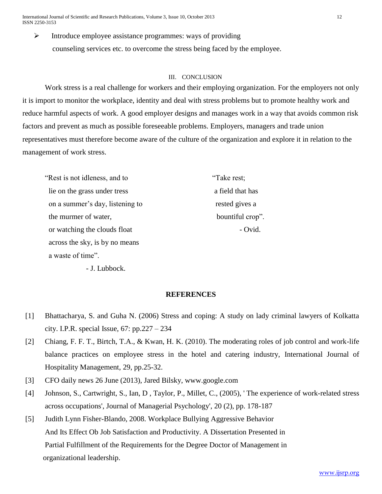International Journal of Scientific and Research Publications, Volume 3, Issue 10, October 2013 12 ISSN 2250-3153

 $\triangleright$  Introduce employee assistance programmes: ways of providing counseling services etc. to overcome the stress being faced by the employee.

#### III. CONCLUSION

Work stress is a real challenge for workers and their employing organization. For the employers not only it is import to monitor the workplace, identity and deal with stress problems but to promote healthy work and reduce harmful aspects of work. A good employer designs and manages work in a way that avoids common risk factors and prevent as much as possible foreseeable problems. Employers, managers and trade union representatives must therefore become aware of the culture of the organization and explore it in relation to the management of work stress.

"Rest is not idleness, and to "Take rest; lie on the grass under tress a field that has on a summer's day, listening to rested gives a the murmer of water, bountiful crop". or watching the clouds float - Ovid. across the sky, is by no means a waste of time".

- J. Lubbock.

#### **REFERENCES**

- [1] Bhattacharya, S. and Guha N. (2006) Stress and coping: A study on lady criminal lawyers of Kolkatta city. I.P.R. special Issue,  $67: pp.227 - 234$
- [2] Chiang, F. F. T., Birtch, T.A., & Kwan, H. K. (2010). The moderating roles of job control and work-life balance practices on employee stress in the hotel and catering industry, International Journal of Hospitality Management, 29, pp.25-32.
- [3] CFO daily news 26 June (2013), Jared Bilsky, www.google.com
- [4] Johnson, S., Cartwright, S., Ian, D , Taylor, P., Millet, C., (2005), ' The experience of work-related stress across occupations', Journal of Managerial Psychology', 20 (2), pp. 178-187
- [5] Judith Lynn Fisher-Blando, 2008. Workplace Bullying Aggressive Behavior And Its Effect Ob Job Satisfaction and Productivity. A Dissertation Presented in Partial Fulfillment of the Requirements for the Degree Doctor of Management in organizational leadership.